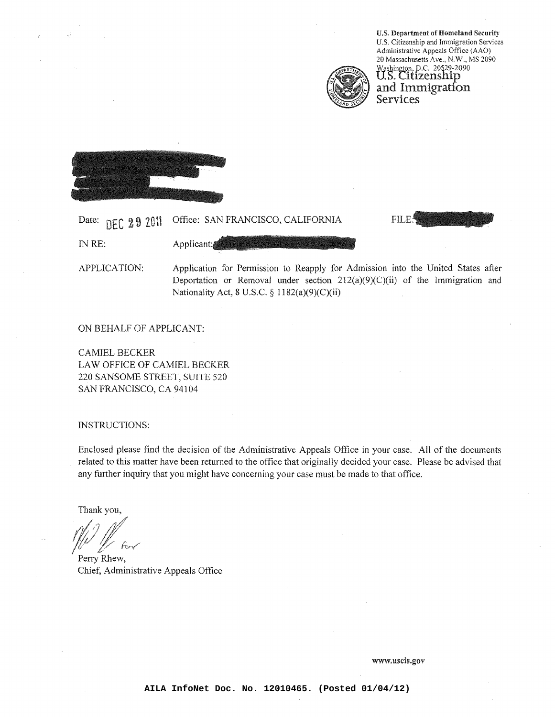

U.S. Department of Homeland Security U.S. Citizenship and Immigration Services Administrative Appeals Office (AAO) 20 Massachusetts Ave., N.W., MS 2090 Washington, D.C. 20529-2090<br>**U.S. Citizenship** and Immigration Services



Date: DEC 29 2011 Office: SAN FRANCISCO, CALIFORNIA FILE! IN RE: Applicant:

APPLICATION: Application for Permission to Reapply for Admission into the United States after Deportation or Removal under section  $212(a)(9)(C)(ii)$  of the Immigration and Nationality Act, 8 U.S.C. § 1182(a)(9)(C)(ii)

ON BEHALF OF APPLICANT:

CAMIEL BECKER LAW OFFICE OF CAMIEL BECKER 220 SANSOME STREET, SUITE 520 SAN FRANCISCO, CA 94104

INSTRUCTIONS:

Enclosed please find the decision of the Administrative Appeals Office in your case. All of the documents related to this matter have been returned to the office that originally decided your case. Please be advised that any further inquiry that you might have concerning your case must be made to that office.

Thank you,

 $\int$ /J../ / *It/ l/./I/* If  $\frac{1}{\sqrt{2}}$  for

Perry Rhew, Chief, Administrative Appeals Office

www.uscis.gov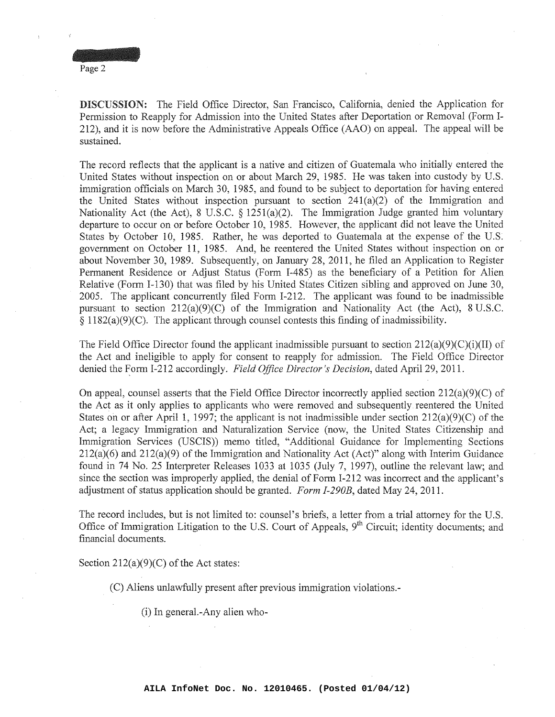

DISCUSSION: The Field Office Director, San Francisco, California, denied the Application for Permission to Reapply for Admission into the United States after Deportation or Removal (Form 1- 212), and it is now before the Administrative Appeals Office (AAO) on appeal. The appeal will be sustained.

The record reflects that the applicant is a native and citizen of Guatemala who initially entered the United States without inspection on or about March 29, 1985. He was taken into custody by U.S. immigration officials on March 30, 1985, and found to be subject to deportation for having entered the United States without inspection pursuant to section  $241(a)(2)$  of the Immigration and Nationality Act (the Act), 8 U.S.C. § 1251(a)(2). The Immigration Judge granted him voluntary departure to occur on or before October 10, 1985. However, the applicant did not leave the United States by October 10, 1985. Rather, he was deported to Guatemala at the expense of the U.S. government on October 11, 1985. And, he reentered the United States without inspection on or about November 30, 1989. Subsequently, on January 28, 2011, he filed an Application to Register Permanent Residence or Adjust Status (Form I-485) as the beneficiary of a Petition for Alien Relative (Form 1-130) that was filed by his United States Citizen sibling and approved on June 30, 2005. The applicant concurrently filed Form 1-212. The applicant was found to be inadmissible pursuant to section  $212(a)(9)(C)$  of the Immigration and Nationality Act (the Act), 8 U.S.C.  $\frac{1}{8}$  1182(a)(9)(C). The applicant through counsel contests this finding of inadmissibility.

The Field Office Director found the applicant inadmissible pursuant to section  $212(a)(9)(C)(i)(II)$  of the Act and ineligible to apply for consent to reapply for admission. The Field Office Director denied the Form 1-212 accordingly. *Field Office Director's Decision,* dated April 29, 2011.

On appeal, counsel asserts that the Field Office Director incorrectly applied section  $212(a)(9)(C)$  of the Act as it only applies to applicants who were removed and subsequently reentered the United States on or after April 1, 1997; the applicant is not inadmissible under section  $212(a)(9)(C)$  of the Act; a legacy Immigration and Naturalization Service (now, the United States Citizenship and Immigration Services (USCIS)) memo titled, "Additional Guidance for Implementing Sections 212(a)(6) and 212(a)(9) of the Immigration and Nationality Act (Act)" along with Interim Guidance found in 74 No. 25 Interpreter Releases 1033 at 1035 (July 7, 1997), outline the relevant law; and since the section was improperly applied, the denial of Form I-212 was incorrect and the applicant's adjustment of status application should be granted. *Form I-290B*, dated May 24, 2011.

The record includes, but is not limited to: counsel's briefs, a letter from a trial attorney for the U.S. Office of Immigration Litigation to the U.S. Court of Appeals,  $9<sup>th</sup>$  Circuit; identity documents; and financial documents.

Section  $212(a)(9)(C)$  of the Act states:

(C) Aliens unlawfully present after previous immigration violations.-

(i) In genera1.-Any alien who-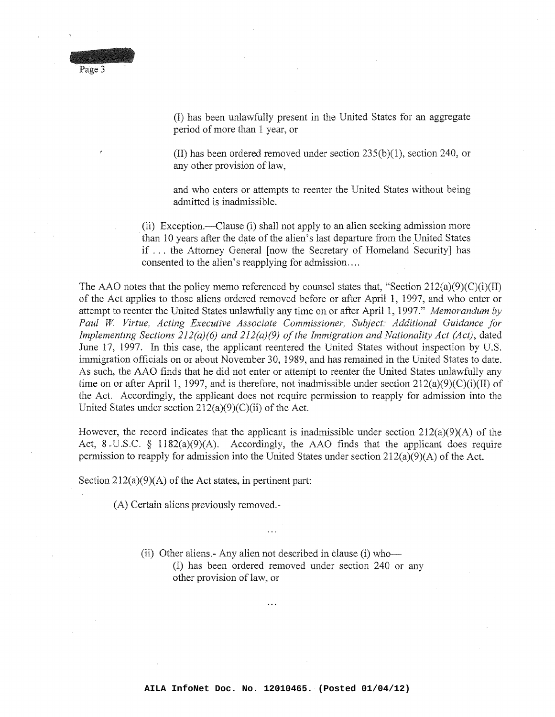

(1) has been unlawfully present in the United States for an aggregate period of more than 1 year, or

(II) has been ordered removed under section 235(b)(1), section 240, or any other provision of law,

and who enters or attempts to reenter the United States without being admitted is inadmissible.

(ii) Exception.—Clause (i) shall not apply to an alien seeking admission more than 10 years after the date of the alien's last departure from the United States if ... the Attorney General [now the Secretary of Homeland Security] has consented to the alien's reapplying for **admission....**

The AAO notes that the policy memo referenced by counsel states that, "Section  $212(a)(9)(C)(i)(II)$ of the Act applies to those aliens ordered removed before or after April 1, 1997, and who enter or attempt to reenter the United States unlawfully any time on or after April 1, 1997." *Memorandum by Paul W Virtue, Acting Executive Associate Commissioner, Subject: Additional Guidance for Implementing Sections* 212(a)(6) and 212(a)(9) of the *Immigration* and *Nationality Act* (Act), dated June 17, 1997. In this case, the applicant reentered the United States without inspection by U.S. immigration officials on or about November 30, 1989, and has remained in the United States to date. As such, the AAO finds that he did not enter or attempt to reenter the United States unlawfully any time on or after April 1, 1997, and is therefore, not inadmissible under section  $212(a)(9)(C)(i)(II)$  of the Act. Accordingly, the applicant does not require permission to reapply for admission into the United States under section  $212(a)(9)(C)(ii)$  of the Act.

However, the record indicates that the applicant is inadmissible under section  $212(a)(9)(A)$  of the Act,  $8 \cdot \text{U.S.C.}$  § 1182(a)(9)(A). Accordingly, the AAO finds that the applicant does require permission to reapply for admission into the United States under section  $212(a)(9)(A)$  of the Act.

Section  $212(a)(9)(A)$  of the Act states, in pertinent part:

(A) Certain aliens previously removed.-

(ii) Other aliens.- Any alien not described in clause (i) who-(I) has been ordered removed under section 240 or any other provision of law, or

 $\ddotsc$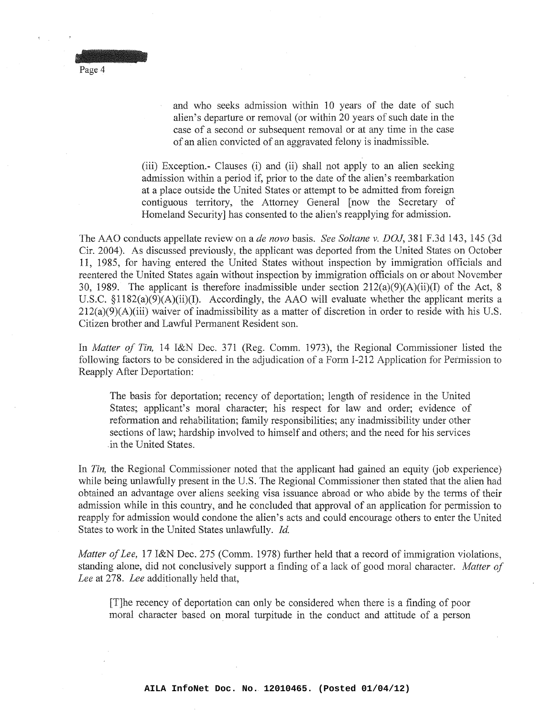

and who seeks admission within 10 years of the date of such alien's departure or removal (or within 20 years of such date in the case of a second or subsequent removal or at any time in the case of an alien convicted of an aggravated felony is inadmissible.

(iii) Exception.- Clauses (i) and (ii) shall not apply to an alien seeking admission within a period if, prior to the date of the alien's reembarkation at a place outside the United States or attempt to be admitted from foreign contiguous territory, the Attorney General [now the Secretary of Homeland Security] has consented to the alien's reapplying for admission.

The AAO conducts appellate review on a *de novo* basis. *See Soltane v. DOJ,* 381 F.3d 143, 145 (3d Cir. 2004). As discussed previously, the applicant was deported from the United States on October 11, 1985, for having entered the United States without inspection by immigration officials and reentered the United States again without inspection by immigration officials on or about November 30, 1989. The applicant is therefore inadmissible under section 212(a)(9)(A)(ii)(I) of the Act, 8 U.S.c. §1182(a)(9)(A)(ii)(I). Accordingly, the AAO will evaluate whether the applicant merits a 212(a)(9)(A)(iii) waiver of inadmissibility as a matter of discretion in order to reside with his U.S. Citizen brother and Lawful Permanent Resident son.

In *Matter of Tin,* 14 I&N Dec. 371 (Reg. Comm. 1973), the Regional Commissioner listed the following factors to be considered in the adjudication of a Form 1-212 Application for Permission to Reapply After Deportation:

The basis for deportation; recency of deportation; length of residence in the United States; applicant's moral character; his respect for law and order; evidence of reformation and rehabilitation; family responsibilities; any inadmissibility under other sections of law; hardship involved to himself and others; and the need for his services in the United States.

In *Tin,* the Regional Commissioner noted that the applicant had gained an equity (job experience) while being unlawfully present in the U.S. The Regional Commissioner then stated that the alien had obtained an advantage over aliens seeking visa issuance abroad or who abide by the terms of their admission while in this country, and he concluded that approval of an application for permission to reapply for admission would condone the alien's acts and could encourage others to enter the United States to work in the United States unlawfully. Id

*Matter of Lee*, 17 I&N Dec. 275 (Comm. 1978) further held that a record of immigration violations, standing alone, did not conclusively support a finding of a lack of good moral character. *Matter of Lee* at 278. *Lee* additionally held that,

[T]he recency of deportation can only be considered when there is a finding of poor moral character based on moral turpitude in the conduct and attitude of a person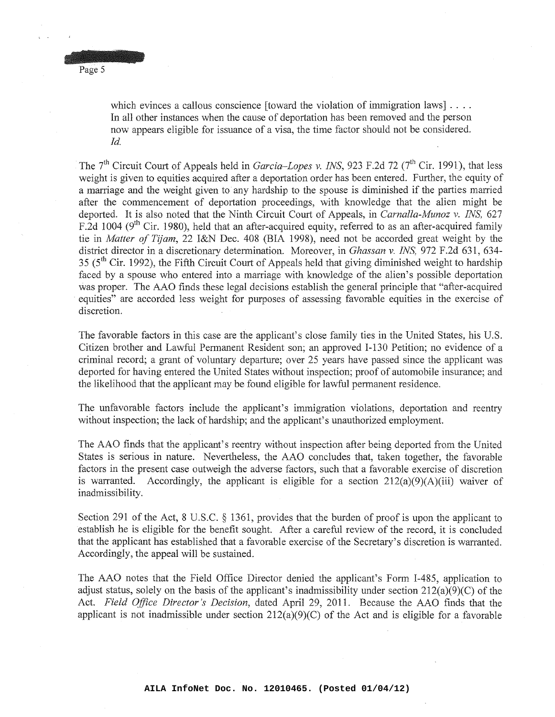Page 5

which evinces a callous conscience [toward the violation of immigration laws]  $\dots$ In all other instances when the cause of deportation has been removed and the person now appears eligible for issuance of a visa, the time factor should not be considered. *Id.*

The 7<sup>th</sup> Circuit Court of Appeals held in *Garcia-Lopes v. INS*, 923 F.2d 72 (7<sup>th</sup> Cir. 1991), that less weight is given to equities acquired after a deportation order has been entered. Further, the equity of a marriage and the weight given to any hardship to the spouse is diminished if the parties married after the commencement of deportation proceedings, with knowledge that the alien might be deported. It is also noted that the Ninth Circuit Court of Appeals, in *Carnal/a-Munoz* v. *INS, 627* F.2d 1004 ( $9<sup>th</sup>$  Cir. 1980), held that an after-acquired equity, referred to as an after-acquired family tie in *Matter of Tijam,* 22 I&N Dec. 408 (BIA 1998), need not be accorded great weight by the district director in a discretionary detennination. Moreover, in *Ghassan* v. *INS,* 972 F.2d 631, 634- 35 ( $5<sup>th</sup>$  Cir. 1992), the Fifth Circuit Court of Appeals held that giving diminished weight to hardship faced by a spouse who entered into a marriage with knowledge of the alien's possible deportation was proper. The AAO finds these legal decisions establish the general principle that "after-acquired equities" are accorded less weight for purposes of assessing favorable equities in the exercise of discretion.

The favorable factors in this case are the applicant's close family ties in the United States, his U.S. Citizen brother and Lawful Permanent Resident son; an approved 1-130 Petition; no evidence of a criminal record; a grant of voluntary departure; over 25 years have passed since the applicant was deported for having entered the United States without inspection; proof of automobile insurance; and the likelihood that the applicant may be found eligible for lawful pennanent residence.

The unfavorable factors include the applicant's immigration violations, deportation and reentry without inspection; the lack of hardship; and the applicant's unauthorized employment.

The AAO finds that the applicant's reentry without inspection after being deported from the United States is serious in nature. Nevertheless, the AAO concludes that, taken together, the favorable factors in the present case outweigh the adverse factors, such that a favorable exercise of discretion is warranted. Accordingly, the applicant is eligible for a section  $212(a)(9)(A)(iii)$  waiver of inadmissibility.

Section 291 of the Act, 8 U.S.C. § 1361, provides that the burden of proof is upon the applicant to establish he is eligible for the benefit sought. After a careful review of the record, it is concluded that the applicant has established that a favorable exercise of the Secretary's discretion is warranted. Accordingly, the appeal will be sustained.

The AAO notes that the Field Office Director denied the applicant's Form 1-485, application to adjust status, solely on the basis of the applicant's inadmissibility under section  $212(a)(9)(C)$  of the Act. *Field qlfice Director's Decision,* dated April 29, 2011. Because the AAO finds that the applicant is not inadmissible under section  $212(a)(9)(C)$  of the Act and is eligible for a favorable